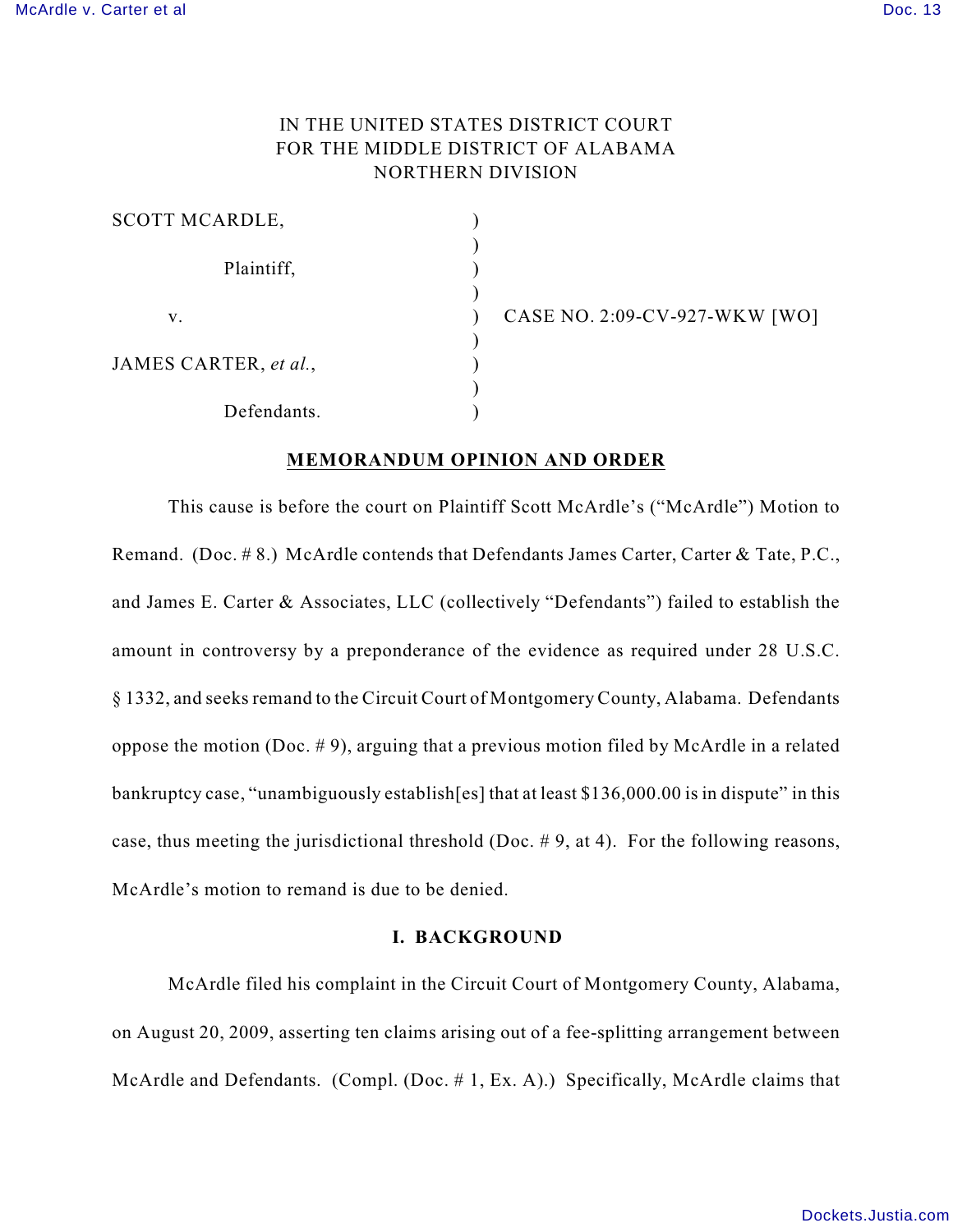# IN THE UNITED STATES DISTRICT COURT FOR THE MIDDLE DISTRICT OF ALABAMA NORTHERN DIVISION

| <b>SCOTT MCARDLE,</b> |  |
|-----------------------|--|
| Plaintiff,            |  |
| V.                    |  |
| JAMES CARTER, et al., |  |
| Defendants.           |  |

CASE NO. 2:09-CV-927-WKW [WO]

## **MEMORANDUM OPINION AND ORDER**

This cause is before the court on Plaintiff Scott McArdle's ("McArdle") Motion to Remand. (Doc. # 8.) McArdle contends that Defendants James Carter, Carter & Tate, P.C., and James E. Carter & Associates, LLC (collectively "Defendants") failed to establish the amount in controversy by a preponderance of the evidence as required under 28 U.S.C. § 1332, and seeks remand to the Circuit Court of Montgomery County, Alabama. Defendants oppose the motion (Doc.  $# 9$ ), arguing that a previous motion filed by McArdle in a related bankruptcy case, "unambiguously establish[es] that at least \$136,000.00 is in dispute" in this case, thus meeting the jurisdictional threshold (Doc. # 9, at 4). For the following reasons, McArdle's motion to remand is due to be denied.

## **I. BACKGROUND**

McArdle filed his complaint in the Circuit Court of Montgomery County, Alabama, on August 20, 2009, asserting ten claims arising out of a fee-splitting arrangement between McArdle and Defendants. (Compl. (Doc. #1, Ex. A).) Specifically, McArdle claims that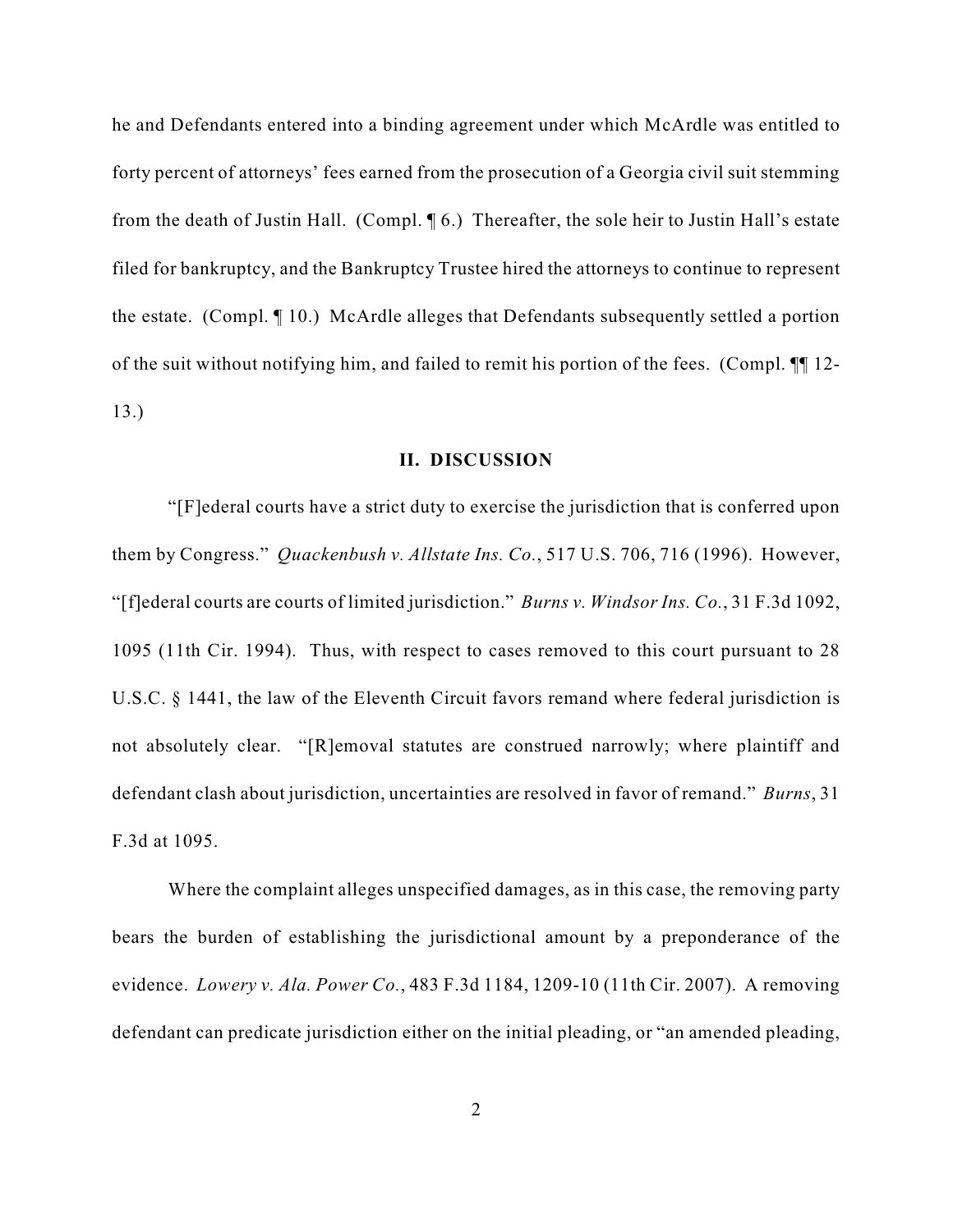he and Defendants entered into a binding agreement under which McArdle was entitled to forty percent of attorneys' fees earned from the prosecution of a Georgia civil suit stemming from the death of Justin Hall. (Compl. ¶ 6.) Thereafter, the sole heir to Justin Hall's estate filed for bankruptcy, and the Bankruptcy Trustee hired the attorneys to continue to represent the estate. (Compl. ¶ 10.) McArdle alleges that Defendants subsequently settled a portion of the suit without notifying him, and failed to remit his portion of the fees. (Compl. ¶¶ 12- 13.)

### **II. DISCUSSION**

"[F]ederal courts have a strict duty to exercise the jurisdiction that is conferred upon them by Congress." *Quackenbush v. Allstate Ins. Co.*, 517 U.S. 706, 716 (1996). However, "[f]ederal courts are courts of limited jurisdiction." *Burns v. Windsor Ins. Co.*, 31 F.3d 1092, 1095 (11th Cir. 1994). Thus, with respect to cases removed to this court pursuant to 28 U.S.C. § 1441, the law of the Eleventh Circuit favors remand where federal jurisdiction is not absolutely clear. "[R]emoval statutes are construed narrowly; where plaintiff and defendant clash about jurisdiction, uncertainties are resolved in favor of remand." *Burns*, 31 F.3d at 1095.

Where the complaint alleges unspecified damages, as in this case, the removing party bears the burden of establishing the jurisdictional amount by a preponderance of the evidence. *Lowery v. Ala. Power Co.*, 483 F.3d 1184, 1209-10 (11th Cir. 2007). A removing defendant can predicate jurisdiction either on the initial pleading, or "an amended pleading,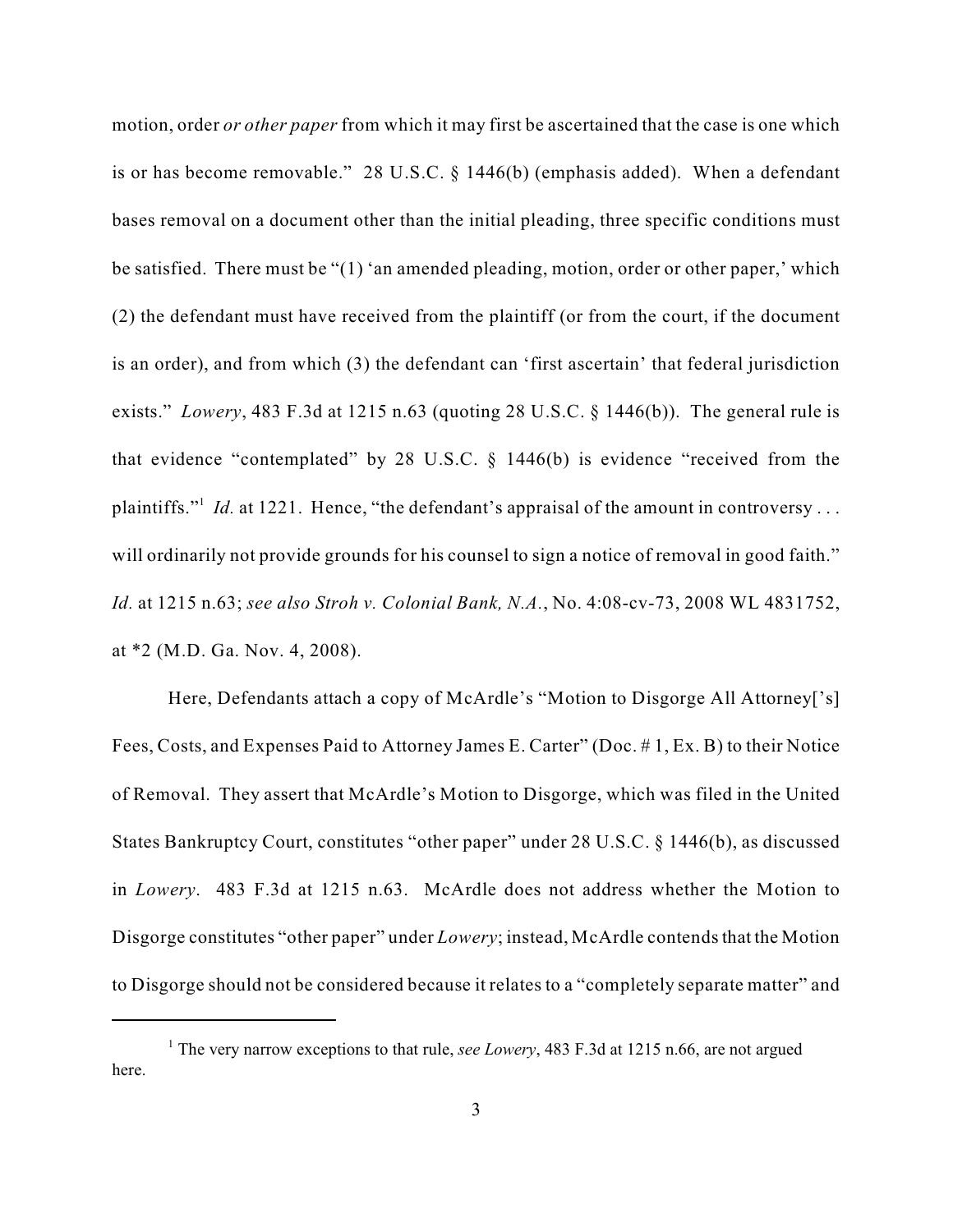motion, order *or other paper* from which it may first be ascertained that the case is one which is or has become removable." 28 U.S.C. § 1446(b) (emphasis added). When a defendant bases removal on a document other than the initial pleading, three specific conditions must be satisfied. There must be "(1) 'an amended pleading, motion, order or other paper,' which (2) the defendant must have received from the plaintiff (or from the court, if the document is an order), and from which (3) the defendant can 'first ascertain' that federal jurisdiction exists." *Lowery*, 483 F.3d at 1215 n.63 (quoting 28 U.S.C. § 1446(b)). The general rule is that evidence "contemplated" by 28 U.S.C. § 1446(b) is evidence "received from the plaintiffs."<sup>1</sup> *Id.* at 1221. Hence, "the defendant's appraisal of the amount in controversy... will ordinarily not provide grounds for his counsel to sign a notice of removal in good faith." *Id.* at 1215 n.63; *see also Stroh v. Colonial Bank, N.A.*, No. 4:08-cv-73, 2008 WL 4831752, at \*2 (M.D. Ga. Nov. 4, 2008).

Here, Defendants attach a copy of McArdle's "Motion to Disgorge All Attorney['s] Fees, Costs, and Expenses Paid to Attorney James E. Carter" (Doc. # 1, Ex. B) to their Notice of Removal. They assert that McArdle's Motion to Disgorge, which was filed in the United States Bankruptcy Court, constitutes "other paper" under 28 U.S.C. § 1446(b), as discussed in *Lowery*. 483 F.3d at 1215 n.63. McArdle does not address whether the Motion to Disgorge constitutes "other paper" under *Lowery*; instead, McArdle contends that the Motion to Disgorge should not be considered because it relates to a "completely separate matter" and

<sup>&</sup>lt;sup>1</sup> The very narrow exceptions to that rule, *see Lowery*, 483 F.3d at 1215 n.66, are not argued here.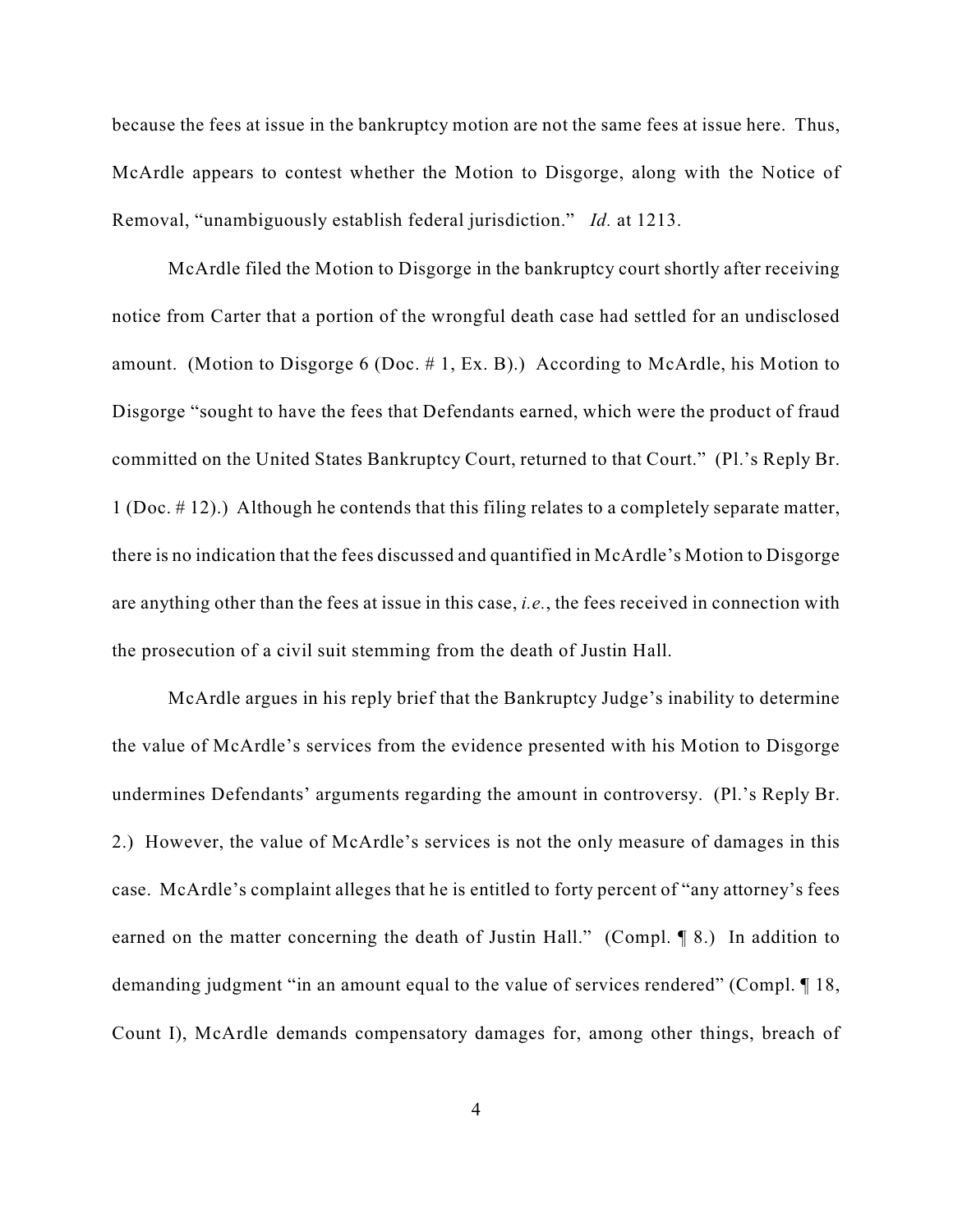because the fees at issue in the bankruptcy motion are not the same fees at issue here. Thus, McArdle appears to contest whether the Motion to Disgorge, along with the Notice of Removal, "unambiguously establish federal jurisdiction." *Id.* at 1213.

McArdle filed the Motion to Disgorge in the bankruptcy court shortly after receiving notice from Carter that a portion of the wrongful death case had settled for an undisclosed amount. (Motion to Disgorge 6 (Doc. # 1, Ex. B).) According to McArdle, his Motion to Disgorge "sought to have the fees that Defendants earned, which were the product of fraud committed on the United States Bankruptcy Court, returned to that Court." (Pl.'s Reply Br. 1 (Doc. # 12).) Although he contends that this filing relates to a completely separate matter, there is no indication that the fees discussed and quantified in McArdle's Motion to Disgorge are anything other than the fees at issue in this case, *i.e.*, the fees received in connection with the prosecution of a civil suit stemming from the death of Justin Hall.

McArdle argues in his reply brief that the Bankruptcy Judge's inability to determine the value of McArdle's services from the evidence presented with his Motion to Disgorge undermines Defendants' arguments regarding the amount in controversy. (Pl.'s Reply Br. 2.) However, the value of McArdle's services is not the only measure of damages in this case. McArdle's complaint alleges that he is entitled to forty percent of "any attorney's fees earned on the matter concerning the death of Justin Hall." (Compl. 18.) In addition to demanding judgment "in an amount equal to the value of services rendered" (Compl. ¶ 18, Count I), McArdle demands compensatory damages for, among other things, breach of